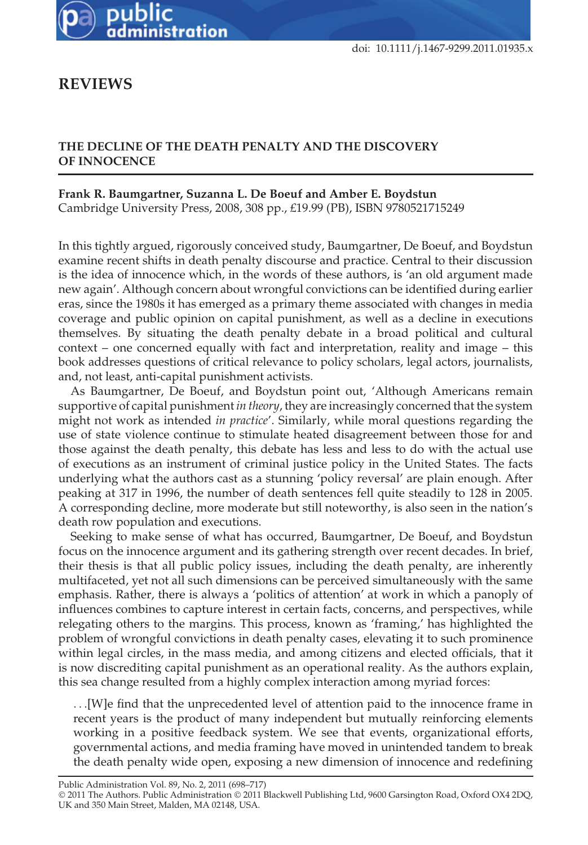

doi: 10.1111/j.1467-9299.2011.01935.x

## **REVIEWS**

## **THE DECLINE OF THE DEATH PENALTY AND THE DISCOVERY OF INNOCENCE**

## **Frank R. Baumgartner, Suzanna L. De Boeuf and Amber E. Boydstun**

Cambridge University Press, 2008, 308 pp., £19.99 (PB), ISBN 9780521715249

In this tightly argued, rigorously conceived study, Baumgartner, De Boeuf, and Boydstun examine recent shifts in death penalty discourse and practice. Central to their discussion is the idea of innocence which, in the words of these authors, is 'an old argument made new again'. Although concern about wrongful convictions can be identified during earlier eras, since the 1980s it has emerged as a primary theme associated with changes in media coverage and public opinion on capital punishment, as well as a decline in executions themselves. By situating the death penalty debate in a broad political and cultural context – one concerned equally with fact and interpretation, reality and image – this book addresses questions of critical relevance to policy scholars, legal actors, journalists, and, not least, anti-capital punishment activists.

As Baumgartner, De Boeuf, and Boydstun point out, 'Although Americans remain supportive of capital punishment *in theory*, they are increasingly concerned that the system might not work as intended *in practice*'. Similarly, while moral questions regarding the use of state violence continue to stimulate heated disagreement between those for and those against the death penalty, this debate has less and less to do with the actual use of executions as an instrument of criminal justice policy in the United States. The facts underlying what the authors cast as a stunning 'policy reversal' are plain enough. After peaking at 317 in 1996, the number of death sentences fell quite steadily to 128 in 2005. A corresponding decline, more moderate but still noteworthy, is also seen in the nation's death row population and executions.

Seeking to make sense of what has occurred, Baumgartner, De Boeuf, and Boydstun focus on the innocence argument and its gathering strength over recent decades. In brief, their thesis is that all public policy issues, including the death penalty, are inherently multifaceted, yet not all such dimensions can be perceived simultaneously with the same emphasis. Rather, there is always a 'politics of attention' at work in which a panoply of influences combines to capture interest in certain facts, concerns, and perspectives, while relegating others to the margins. This process, known as 'framing,' has highlighted the problem of wrongful convictions in death penalty cases, elevating it to such prominence within legal circles, in the mass media, and among citizens and elected officials, that it is now discrediting capital punishment as an operational reality. As the authors explain, this sea change resulted from a highly complex interaction among myriad forces:

*...*[W]e find that the unprecedented level of attention paid to the innocence frame in recent years is the product of many independent but mutually reinforcing elements working in a positive feedback system. We see that events, organizational efforts, governmental actions, and media framing have moved in unintended tandem to break the death penalty wide open, exposing a new dimension of innocence and redefining

Public Administration Vol. 89, No. 2, 2011 (698–717)

<sup>©</sup> 2011 The Authors. Public Administration © 2011 Blackwell Publishing Ltd, 9600 Garsington Road, Oxford OX4 2DQ, UK and 350 Main Street, Malden, MA 02148, USA.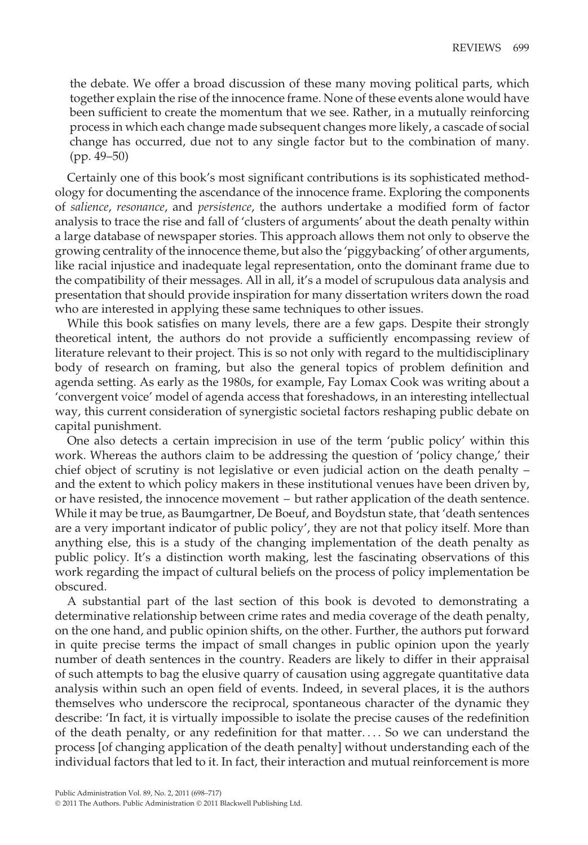the debate. We offer a broad discussion of these many moving political parts, which together explain the rise of the innocence frame. None of these events alone would have been sufficient to create the momentum that we see. Rather, in a mutually reinforcing process in which each change made subsequent changes more likely, a cascade of social change has occurred, due not to any single factor but to the combination of many. (pp. 49–50)

Certainly one of this book's most significant contributions is its sophisticated methodology for documenting the ascendance of the innocence frame. Exploring the components of *salience*, *resonance*, and *persistence*, the authors undertake a modified form of factor analysis to trace the rise and fall of 'clusters of arguments' about the death penalty within a large database of newspaper stories. This approach allows them not only to observe the growing centrality of the innocence theme, but also the 'piggybacking' of other arguments, like racial injustice and inadequate legal representation, onto the dominant frame due to the compatibility of their messages. All in all, it's a model of scrupulous data analysis and presentation that should provide inspiration for many dissertation writers down the road who are interested in applying these same techniques to other issues.

While this book satisfies on many levels, there are a few gaps. Despite their strongly theoretical intent, the authors do not provide a sufficiently encompassing review of literature relevant to their project. This is so not only with regard to the multidisciplinary body of research on framing, but also the general topics of problem definition and agenda setting. As early as the 1980s, for example, Fay Lomax Cook was writing about a 'convergent voice' model of agenda access that foreshadows, in an interesting intellectual way, this current consideration of synergistic societal factors reshaping public debate on capital punishment.

One also detects a certain imprecision in use of the term 'public policy' within this work. Whereas the authors claim to be addressing the question of 'policy change,' their chief object of scrutiny is not legislative or even judicial action on the death penalty – and the extent to which policy makers in these institutional venues have been driven by, or have resisted, the innocence movement – but rather application of the death sentence. While it may be true, as Baumgartner, De Boeuf, and Boydstun state, that 'death sentences are a very important indicator of public policy', they are not that policy itself. More than anything else, this is a study of the changing implementation of the death penalty as public policy. It's a distinction worth making, lest the fascinating observations of this work regarding the impact of cultural beliefs on the process of policy implementation be obscured.

A substantial part of the last section of this book is devoted to demonstrating a determinative relationship between crime rates and media coverage of the death penalty, on the one hand, and public opinion shifts, on the other. Further, the authors put forward in quite precise terms the impact of small changes in public opinion upon the yearly number of death sentences in the country. Readers are likely to differ in their appraisal of such attempts to bag the elusive quarry of causation using aggregate quantitative data analysis within such an open field of events. Indeed, in several places, it is the authors themselves who underscore the reciprocal, spontaneous character of the dynamic they describe: 'In fact, it is virtually impossible to isolate the precise causes of the redefinition of the death penalty, or any redefinition for that matter*...* . So we can understand the process [of changing application of the death penalty] without understanding each of the individual factors that led to it. In fact, their interaction and mutual reinforcement is more